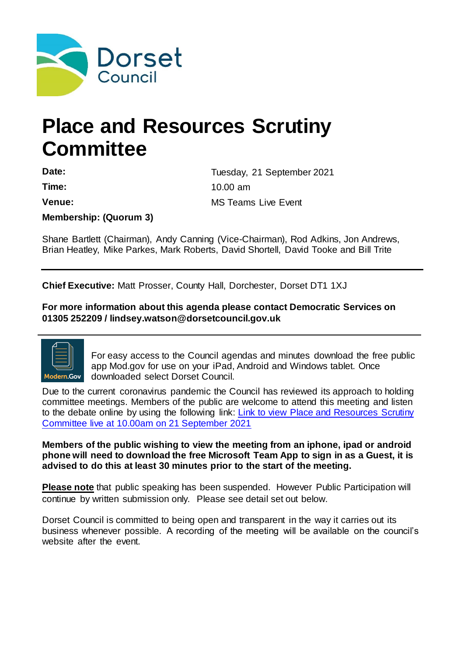

# **Place and Resources Scrutiny Committee**

Date: Date: Tuesday, 21 September 2021 **Time:** 10.00 am **Venue:** MS Teams Live Event

**Membership: (Quorum 3)** 

Shane Bartlett (Chairman), Andy Canning (Vice-Chairman), Rod Adkins, Jon Andrews, Brian Heatley, Mike Parkes, Mark Roberts, David Shortell, David Tooke and Bill Trite

**Chief Executive:** Matt Prosser, County Hall, Dorchester, Dorset DT1 1XJ

**For more information about this agenda please contact Democratic Services on 01305 252209 / lindsey.watson@dorsetcouncil.gov.uk**



For easy access to the Council agendas and minutes download the free public app Mod.gov for use on your iPad, Android and Windows tablet. Once downloaded select Dorset Council.

Due to the current coronavirus pandemic the Council has reviewed its approach to holding committee meetings. Members of the public are welcome to attend this meeting and listen to the debate online by using the following link: Link to view Place and Resources Scrutiny [Committee live at 10.00am on 21 September 2021](https://teams.microsoft.com/l/meetup-join/19%3ameeting_MDFiOThkMjMtY2E0Ny00ZTlkLTk3N2MtNzNiODlhYmQ5MzVl%40thread.v2/0?context=%7b%22Tid%22%3a%220a4edf35-f0d2-4e23-98f6-b0900b4ea1e6%22%2c%22Oid%22%3a%22e945dac7-c7f0-449d-b9aa-53ead0dfb0e6%22%2c%22IsBroadcastMeeting%22%3atrue%7d&btype=a&role=a)

**Members of the public wishing to view the meeting from an iphone, ipad or android phone will need to download the free Microsoft Team App to sign in as a Guest, it is advised to do this at least 30 minutes prior to the start of the meeting.** 

**Please note** that public speaking has been suspended. However Public Participation will continue by written submission only. Please see detail set out below.

Dorset Council is committed to being open and transparent in the way it carries out its business whenever possible. A recording of the meeting will be available on the council's website after the event.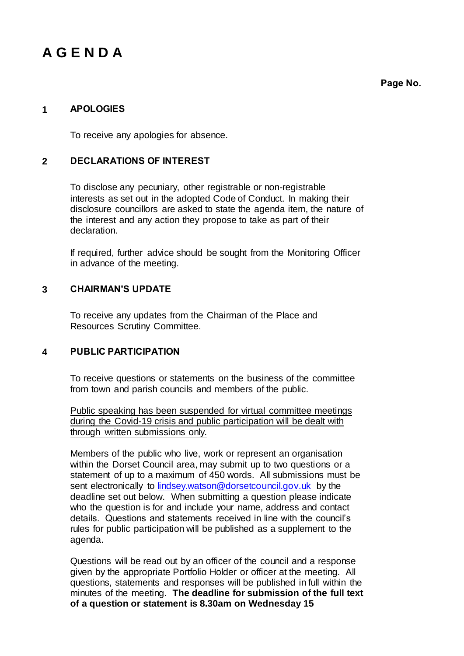## **A G E N D A**

**Page No.**

### **1 APOLOGIES**

To receive any apologies for absence.

#### **2 DECLARATIONS OF INTEREST**

To disclose any pecuniary, other registrable or non-registrable interests as set out in the adopted Code of Conduct. In making their disclosure councillors are asked to state the agenda item, the nature of the interest and any action they propose to take as part of their declaration.

If required, further advice should be sought from the Monitoring Officer in advance of the meeting.

### **3 CHAIRMAN'S UPDATE**

To receive any updates from the Chairman of the Place and Resources Scrutiny Committee.

#### **4 PUBLIC PARTICIPATION**

To receive questions or statements on the business of the committee from town and parish councils and members of the public.

Public speaking has been suspended for virtual committee meetings during the Covid-19 crisis and public participation will be dealt with through written submissions only.

Members of the public who live, work or represent an organisation within the Dorset Council area, may submit up to two questions or a statement of up to a maximum of 450 words. All submissions must be sent electronically to *lindsey.watson@dorsetcouncil.gov.uk* by the deadline set out below. When submitting a question please indicate who the question is for and include your name, address and contact details. Questions and statements received in line with the council's rules for public participation will be published as a supplement to the agenda.

Questions will be read out by an officer of the council and a response given by the appropriate Portfolio Holder or officer at the meeting. All questions, statements and responses will be published in full within the minutes of the meeting. **The deadline for submission of the full text of a question or statement is 8.30am on Wednesday 15**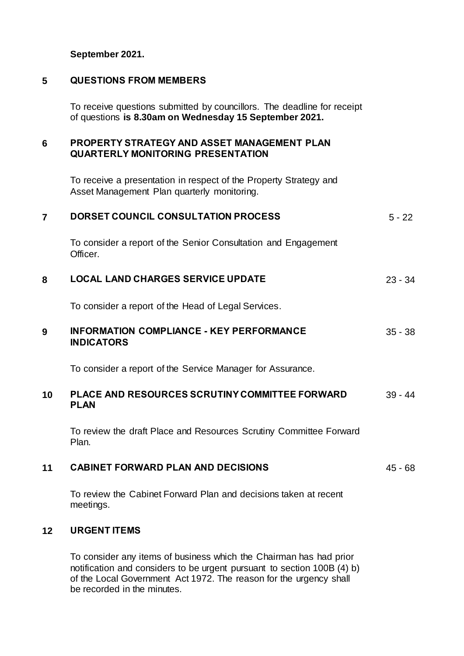**September 2021.**

#### **5 QUESTIONS FROM MEMBERS**

To receive questions submitted by councillors. The deadline for receipt of questions **is 8.30am on Wednesday 15 September 2021.**

### **6 PROPERTY STRATEGY AND ASSET MANAGEMENT PLAN QUARTERLY MONITORING PRESENTATION**

To receive a presentation in respect of the Property Strategy and Asset Management Plan quarterly monitoring.

| $\overline{7}$ | DORSET COUNCIL CONSULTATION PROCESS                                           | $5 - 22$  |
|----------------|-------------------------------------------------------------------------------|-----------|
|                | To consider a report of the Senior Consultation and Engagement<br>Officer.    |           |
| 8              | <b>LOCAL LAND CHARGES SERVICE UPDATE</b>                                      | $23 - 34$ |
|                | To consider a report of the Head of Legal Services.                           |           |
| 9              | <b>INFORMATION COMPLIANCE - KEY PERFORMANCE</b><br><b>INDICATORS</b>          | $35 - 38$ |
|                | To consider a report of the Service Manager for Assurance.                    |           |
| 10             | PLACE AND RESOURCES SCRUTINY COMMITTEE FORWARD<br><b>PLAN</b>                 | $39 - 44$ |
|                | To review the draft Place and Resources Scrutiny Committee Forward<br>Plan.   |           |
| 11             | <b>CABINET FORWARD PLAN AND DECISIONS</b>                                     | 45 - 68   |
|                | To review the Cabinet Forward Plan and decisions taken at recent<br>meetings. |           |
| 12             | <b>URGENT ITEMS</b>                                                           |           |
|                | To consider any items of business which the Chairman has had prior            |           |

notification and considers to be urgent pursuant to section 100B (4) b) of the Local Government Act 1972. The reason for the urgency shall be recorded in the minutes.